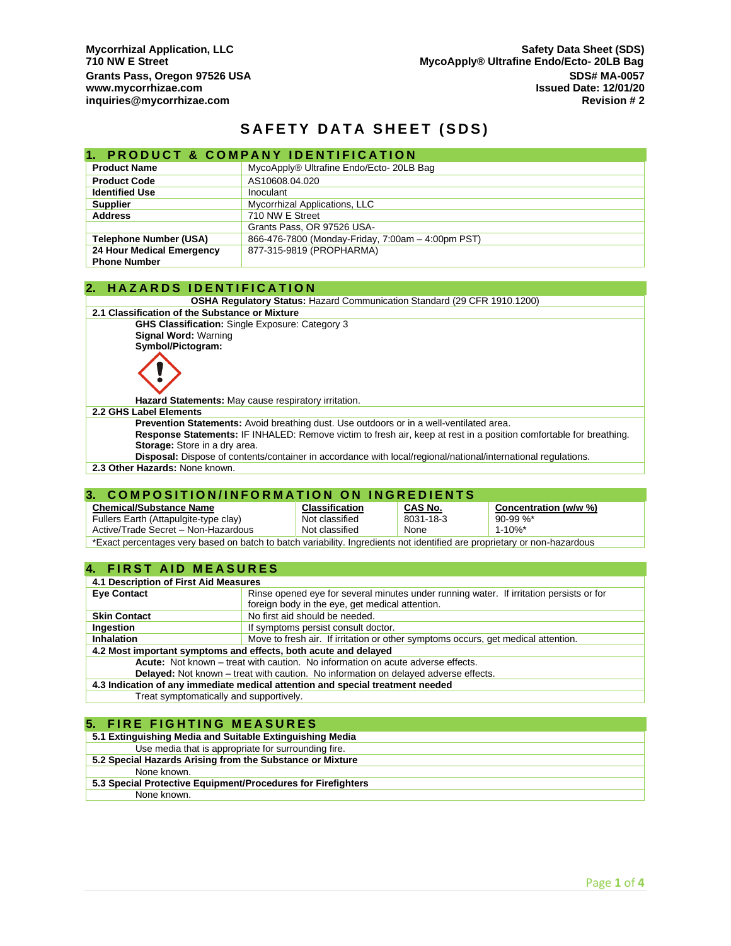## **SAFETY DATA SHEET (SDS)**

### **1. PRODUCT & COMPANY IDENTIFICATION**

| <b>Product Name</b>           | MycoApply® Ultrafine Endo/Ecto- 20LB Bag          |
|-------------------------------|---------------------------------------------------|
| <b>Product Code</b>           | AS10608.04.020                                    |
| <b>Identified Use</b>         | Inoculant                                         |
| <b>Supplier</b>               | Mycorrhizal Applications, LLC                     |
| <b>Address</b>                | 710 NW E Street                                   |
|                               | Grants Pass, OR 97526 USA-                        |
| <b>Telephone Number (USA)</b> | 866-476-7800 (Monday-Friday, 7:00am - 4:00pm PST) |
| 24 Hour Medical Emergency     | 877-315-9819 (PROPHARMA)                          |
| <b>Phone Number</b>           |                                                   |

#### **2. H A Z A R D S I D E N T I F I C A T I O N**

**OSHA Regulatory Status:** Hazard Communication Standard (29 CFR 1910.1200)

**2.1 Classification of the Substance or Mixture**

**GHS Classification:** Single Exposure: Category 3 **Signal Word:** Warning **Symbol/Pictogram:**



**Hazard Statements:** May cause respiratory irritation.

#### **2.2 GHS Label Elements**

**Prevention Statements:** Avoid breathing dust. Use outdoors or in a well-ventilated area. **Response Statements:** IF INHALED: Remove victim to fresh air, keep at rest in a position comfortable for breathing. **Storage:** Store in a dry area.

**Disposal:** Dispose of contents/container in accordance with local/regional/national/international regulations.

**2.3 Other Hazards:** None known.

### **3. COMPOSITION/INFORMATION ON INGREDIENTS**

| <b>Chemical/Substance Name</b>                                                                                           | <b>Classification</b> | CAS No.   | Concentration (w/w %) |
|--------------------------------------------------------------------------------------------------------------------------|-----------------------|-----------|-----------------------|
| Fullers Earth (Attapulgite-type clay)                                                                                    | Not classified        | 8031-18-3 | $90-99$ %*            |
| Active/Trade Secret - Non-Hazardous                                                                                      | Not classified        | None      | $1 - 10%$ *           |
| *Exact percentages very based on batch to batch variability. Ingredients not identified are proprietary or non-hazardous |                       |           |                       |

### **4. FIRST AID MEASURES**

| 4.1 Description of First Aid Measures                                                      |                                                                                         |  |
|--------------------------------------------------------------------------------------------|-----------------------------------------------------------------------------------------|--|
| <b>Eye Contact</b>                                                                         | Rinse opened eye for several minutes under running water. If irritation persists or for |  |
|                                                                                            | foreign body in the eye, get medical attention.                                         |  |
| <b>Skin Contact</b>                                                                        | No first aid should be needed.                                                          |  |
| Ingestion                                                                                  | If symptoms persist consult doctor.                                                     |  |
| <b>Inhalation</b>                                                                          | Move to fresh air. If irritation or other symptoms occurs, get medical attention.       |  |
| 4.2 Most important symptoms and effects, both acute and delayed                            |                                                                                         |  |
| Acute: Not known – treat with caution. No information on acute adverse effects.            |                                                                                         |  |
| <b>Delayed:</b> Not known – treat with caution. No information on delayed adverse effects. |                                                                                         |  |
| 4.3 Indication of any immediate medical attention and special treatment needed             |                                                                                         |  |
| Treat symptomatically and supportively.                                                    |                                                                                         |  |

### **5. FIRE FIGHTING MEASURES**

| 5.1 Extinguishing Media and Suitable Extinguishing Media     |
|--------------------------------------------------------------|
| Use media that is appropriate for surrounding fire.          |
| 5.2 Special Hazards Arising from the Substance or Mixture    |
| None known.                                                  |
| 5.3 Special Protective Equipment/Procedures for Firefighters |
| None known.                                                  |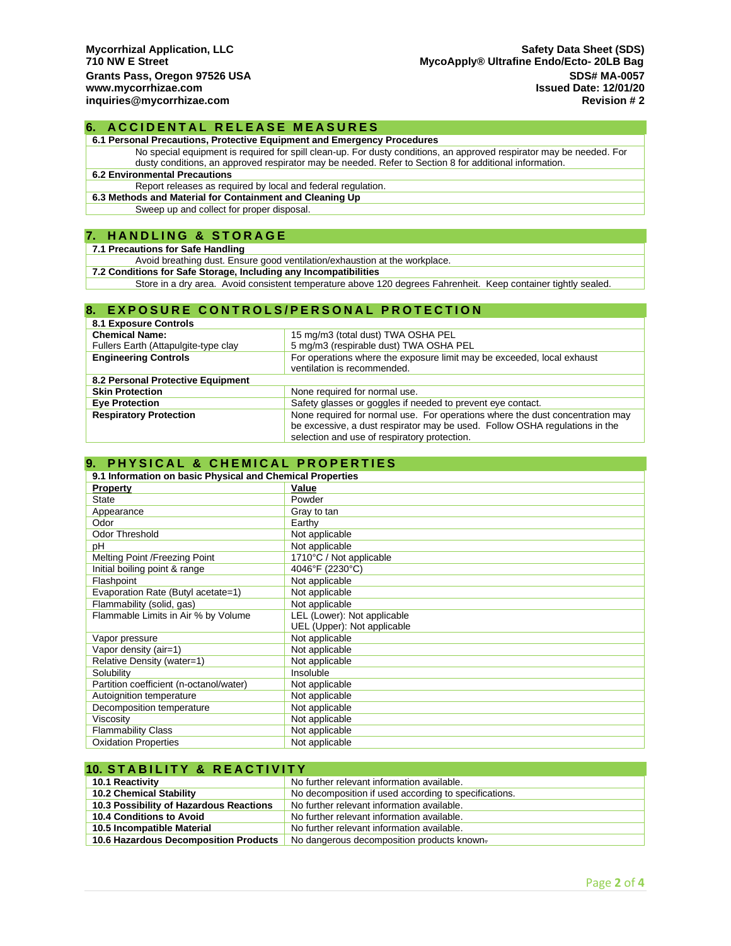### **6. ACCIDENTAL RELEASE MEASURES**

**6.1 Personal Precautions, Protective Equipment and Emergency Procedures**

No special equipment is required for spill clean-up. For dusty conditions, an approved respirator may be needed. For dusty conditions, an approved respirator may be needed. Refer to Section 8 for additional information.

### **6.2 Environmental Precautions**

Report releases as required by local and federal regulation.

**6.3 Methods and Material for Containment and Cleaning Up**

Sweep up and collect for proper disposal.

#### **7. H A N D L I N G & S T O R A G E**

#### **7.1 Precautions for Safe Handling**

Avoid breathing dust. Ensure good ventilation/exhaustion at the workplace.

**7.2 Conditions for Safe Storage, Including any Incompatibilities**

Store in a dry area. Avoid consistent temperature above 120 degrees Fahrenheit. Keep container tightly sealed.

### **8. EXPOSURE CONTROLS/PERSONAL PROTECTION**

| <b>8.1 Exposure Controls</b>         |                                                                               |  |
|--------------------------------------|-------------------------------------------------------------------------------|--|
| <b>Chemical Name:</b>                | 15 mg/m3 (total dust) TWA OSHA PEL                                            |  |
| Fullers Earth (Attapulgite-type clay | 5 mg/m3 (respirable dust) TWA OSHA PEL                                        |  |
| <b>Engineering Controls</b>          | For operations where the exposure limit may be exceeded, local exhaust        |  |
|                                      | ventilation is recommended.                                                   |  |
| 8.2 Personal Protective Equipment    |                                                                               |  |
| <b>Skin Protection</b>               | None required for normal use.                                                 |  |
| <b>Eye Protection</b>                | Safety glasses or goggles if needed to prevent eye contact.                   |  |
| <b>Respiratory Protection</b>        | None required for normal use. For operations where the dust concentration may |  |
|                                      | be excessive, a dust respirator may be used. Follow OSHA regulations in the   |  |
|                                      | selection and use of respiratory protection.                                  |  |

## **9. PHYSICAL & CHEMICAL PROPERTIES**

| 9.1 Information on basic Physical and Chemical Properties |                             |  |
|-----------------------------------------------------------|-----------------------------|--|
| <b>Property</b>                                           | Value                       |  |
| <b>State</b>                                              | Powder                      |  |
| Appearance                                                | Gray to tan                 |  |
| Odor                                                      | Earthy                      |  |
| <b>Odor Threshold</b>                                     | Not applicable              |  |
| рH                                                        | Not applicable              |  |
| Melting Point /Freezing Point                             | 1710°C / Not applicable     |  |
| Initial boiling point & range                             | 4046°F (2230°C)             |  |
| Flashpoint                                                | Not applicable              |  |
| Evaporation Rate (Butyl acetate=1)                        | Not applicable              |  |
| Flammability (solid, gas)                                 | Not applicable              |  |
| Flammable Limits in Air % by Volume                       | LEL (Lower): Not applicable |  |
|                                                           | UEL (Upper): Not applicable |  |
| Vapor pressure                                            | Not applicable              |  |
| Vapor density (air=1)                                     | Not applicable              |  |
| Relative Density (water=1)                                | Not applicable              |  |
| Solubility                                                | Insoluble                   |  |
| Partition coefficient (n-octanol/water)                   | Not applicable              |  |
| Autoignition temperature                                  | Not applicable              |  |
| Decomposition temperature                                 | Not applicable              |  |
| Viscosity                                                 | Not applicable              |  |
| <b>Flammability Class</b>                                 | Not applicable              |  |
| <b>Oxidation Properties</b>                               | Not applicable              |  |

| <b>10. STABILITY &amp; REACTIVITY</b>   |                                                       |  |
|-----------------------------------------|-------------------------------------------------------|--|
| 10.1 Reactivity                         | No further relevant information available.            |  |
| <b>10.2 Chemical Stability</b>          | No decomposition if used according to specifications. |  |
| 10.3 Possibility of Hazardous Reactions | No further relevant information available.            |  |
| 10.4 Conditions to Avoid                | No further relevant information available.            |  |
| 10.5 Incompatible Material              | No further relevant information available.            |  |
| 10.6 Hazardous Decomposition Products   | No dangerous decomposition products known.            |  |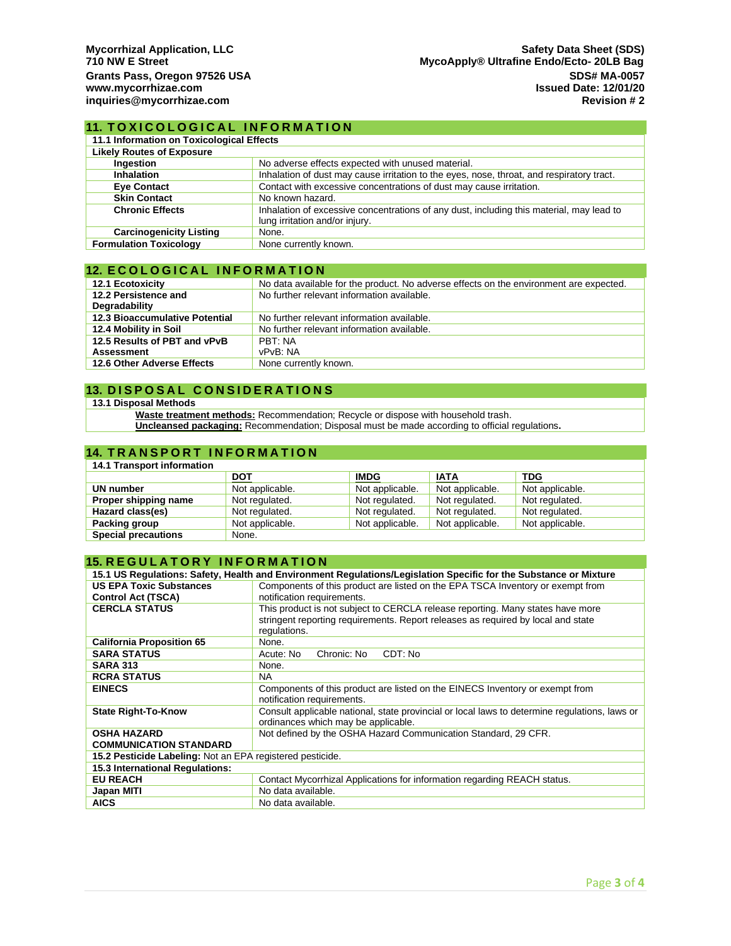### **11. TOXICOLOGICAL INFORMATION**

| 11.1 Information on Toxicological Effects |                                                                                                                            |  |
|-------------------------------------------|----------------------------------------------------------------------------------------------------------------------------|--|
| <b>Likely Routes of Exposure</b>          |                                                                                                                            |  |
| Ingestion                                 | No adverse effects expected with unused material.                                                                          |  |
| Inhalation                                | Inhalation of dust may cause irritation to the eyes, nose, throat, and respiratory tract.                                  |  |
| <b>Eye Contact</b>                        | Contact with excessive concentrations of dust may cause irritation.                                                        |  |
| <b>Skin Contact</b>                       | No known hazard.                                                                                                           |  |
| <b>Chronic Effects</b>                    | Inhalation of excessive concentrations of any dust, including this material, may lead to<br>lung irritation and/or injury. |  |
| <b>Carcinogenicity Listing</b>            | None.                                                                                                                      |  |
| <b>Formulation Toxicology</b>             | None currently known.                                                                                                      |  |

### **12. ECOLOGICAL INFORMATION**

| <b>12.1 Ecotoxicity</b>               | No data available for the product. No adverse effects on the environment are expected. |  |
|---------------------------------------|----------------------------------------------------------------------------------------|--|
| 12.2 Persistence and                  | No further relevant information available.                                             |  |
| Degradability                         |                                                                                        |  |
| <b>12.3 Bioaccumulative Potential</b> | No further relevant information available.                                             |  |
| 12.4 Mobility in Soil                 | No further relevant information available.                                             |  |
| 12.5 Results of PBT and vPvB          | PBT: NA                                                                                |  |
| <b>Assessment</b>                     | vPvB: NA                                                                               |  |
| 12.6 Other Adverse Effects            | None currently known.                                                                  |  |

### **13. DISPOSAL CONSIDERATIONS**

#### **13.1 Disposal Methods**

**Waste treatment methods:** Recommendation; Recycle or dispose with household trash.

**Uncleansed packaging:** Recommendation; Disposal must be made according to official regulations**.**

### **14. TRANSPORT INFORMATION**

| 14.1 Transport information |                 |                 |                 |                 |
|----------------------------|-----------------|-----------------|-----------------|-----------------|
|                            | <b>DOT</b>      | <b>IMDG</b>     | <b>IATA</b>     | <b>TDG</b>      |
| UN number                  | Not applicable. | Not applicable. | Not applicable. | Not applicable. |
| Proper shipping name       | Not regulated.  | Not regulated.  | Not regulated.  | Not regulated.  |
| Hazard class(es)           | Not regulated.  | Not regulated.  | Not regulated.  | Not regulated.  |
| Packing group              | Not applicable. | Not applicable. | Not applicable. | Not applicable. |
| <b>Special precautions</b> | None.           |                 |                 |                 |

# **15. REGULATORY INFORMATION**

| 15.1 US Regulations: Safety, Health and Environment Regulations/Legislation Specific for the Substance or Mixture |                                                                                                                                                                                    |  |  |
|-------------------------------------------------------------------------------------------------------------------|------------------------------------------------------------------------------------------------------------------------------------------------------------------------------------|--|--|
| <b>US EPA Toxic Substances</b>                                                                                    | Components of this product are listed on the EPA TSCA Inventory or exempt from                                                                                                     |  |  |
| <b>Control Act (TSCA)</b>                                                                                         | notification requirements.                                                                                                                                                         |  |  |
| <b>CERCLA STATUS</b>                                                                                              | This product is not subject to CERCLA release reporting. Many states have more<br>stringent reporting requirements. Report releases as required by local and state<br>regulations. |  |  |
| <b>California Proposition 65</b>                                                                                  | None.                                                                                                                                                                              |  |  |
| <b>SARA STATUS</b>                                                                                                | Chronic: No<br>CDT: No<br>Acute: No                                                                                                                                                |  |  |
| <b>SARA 313</b>                                                                                                   | None.                                                                                                                                                                              |  |  |
| <b>RCRA STATUS</b>                                                                                                | <b>NA</b>                                                                                                                                                                          |  |  |
| <b>EINECS</b>                                                                                                     | Components of this product are listed on the EINECS Inventory or exempt from<br>notification requirements.                                                                         |  |  |
| <b>State Right-To-Know</b>                                                                                        | Consult applicable national, state provincial or local laws to determine regulations, laws or<br>ordinances which may be applicable.                                               |  |  |
| <b>OSHA HAZARD</b>                                                                                                | Not defined by the OSHA Hazard Communication Standard, 29 CFR.                                                                                                                     |  |  |
| <b>COMMUNICATION STANDARD</b>                                                                                     |                                                                                                                                                                                    |  |  |
| 15.2 Pesticide Labeling: Not an EPA registered pesticide.                                                         |                                                                                                                                                                                    |  |  |
| 15.3 International Regulations:                                                                                   |                                                                                                                                                                                    |  |  |
| <b>EU REACH</b>                                                                                                   | Contact Mycorrhizal Applications for information regarding REACH status.                                                                                                           |  |  |
| Japan MITI                                                                                                        | No data available.                                                                                                                                                                 |  |  |
| <b>AICS</b>                                                                                                       | No data available.                                                                                                                                                                 |  |  |